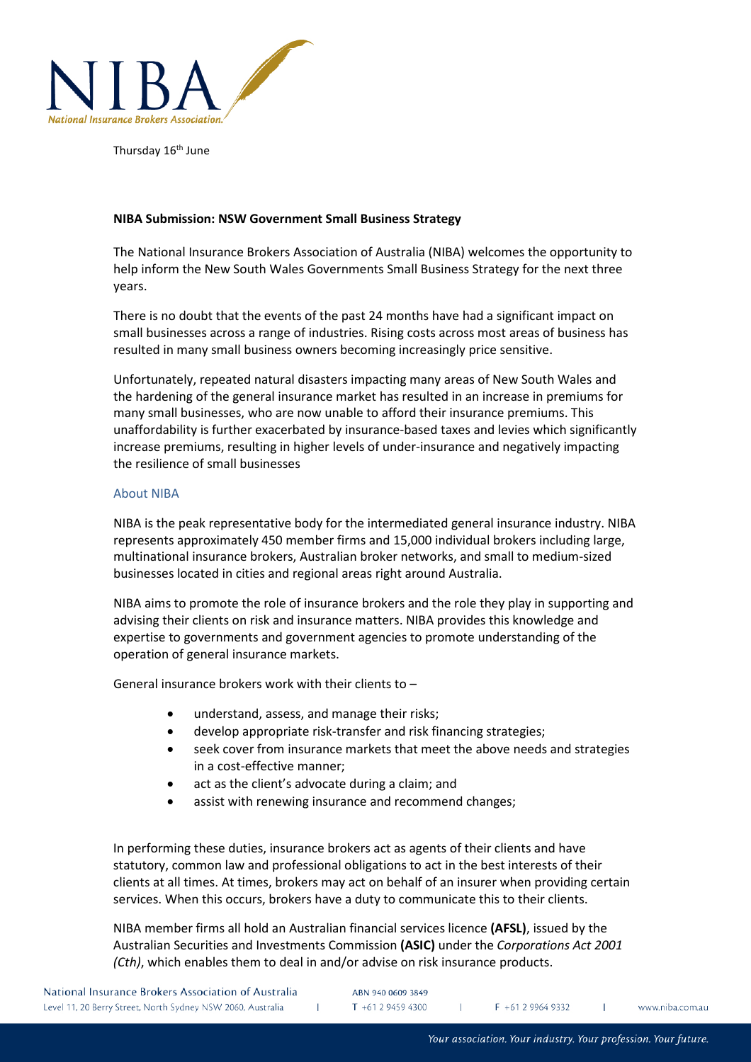

Thursday 16<sup>th</sup> June

# **NIBA Submission: NSW Government Small Business Strategy**

The National Insurance Brokers Association of Australia (NIBA) welcomes the opportunity to help inform the New South Wales Governments Small Business Strategy for the next three years.

There is no doubt that the events of the past 24 months have had a significant impact on small businesses across a range of industries. Rising costs across most areas of business has resulted in many small business owners becoming increasingly price sensitive.

Unfortunately, repeated natural disasters impacting many areas of New South Wales and the hardening of the general insurance market has resulted in an increase in premiums for many small businesses, who are now unable to afford their insurance premiums. This unaffordability is further exacerbated by insurance-based taxes and levies which significantly increase premiums, resulting in higher levels of under-insurance and negatively impacting the resilience of small businesses

# About NIBA

NIBA is the peak representative body for the intermediated general insurance industry. NIBA represents approximately 450 member firms and 15,000 individual brokers including large, multinational insurance brokers, Australian broker networks, and small to medium-sized businesses located in cities and regional areas right around Australia.

NIBA aims to promote the role of insurance brokers and the role they play in supporting and advising their clients on risk and insurance matters. NIBA provides this knowledge and expertise to governments and government agencies to promote understanding of the operation of general insurance markets.

General insurance brokers work with their clients to –

- understand, assess, and manage their risks;
- develop appropriate risk-transfer and risk financing strategies;
- seek cover from insurance markets that meet the above needs and strategies in a cost-effective manner;
- act as the client's advocate during a claim; and
- assist with renewing insurance and recommend changes;

In performing these duties, insurance brokers act as agents of their clients and have statutory, common law and professional obligations to act in the best interests of their clients at all times. At times, brokers may act on behalf of an insurer when providing certain services. When this occurs, brokers have a duty to communicate this to their clients.

NIBA member firms all hold an Australian financial services licence **(AFSL)**, issued by the Australian Securities and Investments Commission **(ASIC)** under the *Corporations Act 2001 (Cth)*, which enables them to deal in and/or advise on risk insurance products.

| National Insurance Brokers Association of Australia         | ABN 940 0609 3849 |                   |                |
|-------------------------------------------------------------|-------------------|-------------------|----------------|
| Level 11, 20 Berry Street, North Sydney NSW 2060, Australia | $T + 61294594300$ | $F + 61299649332$ | www.niba.com.a |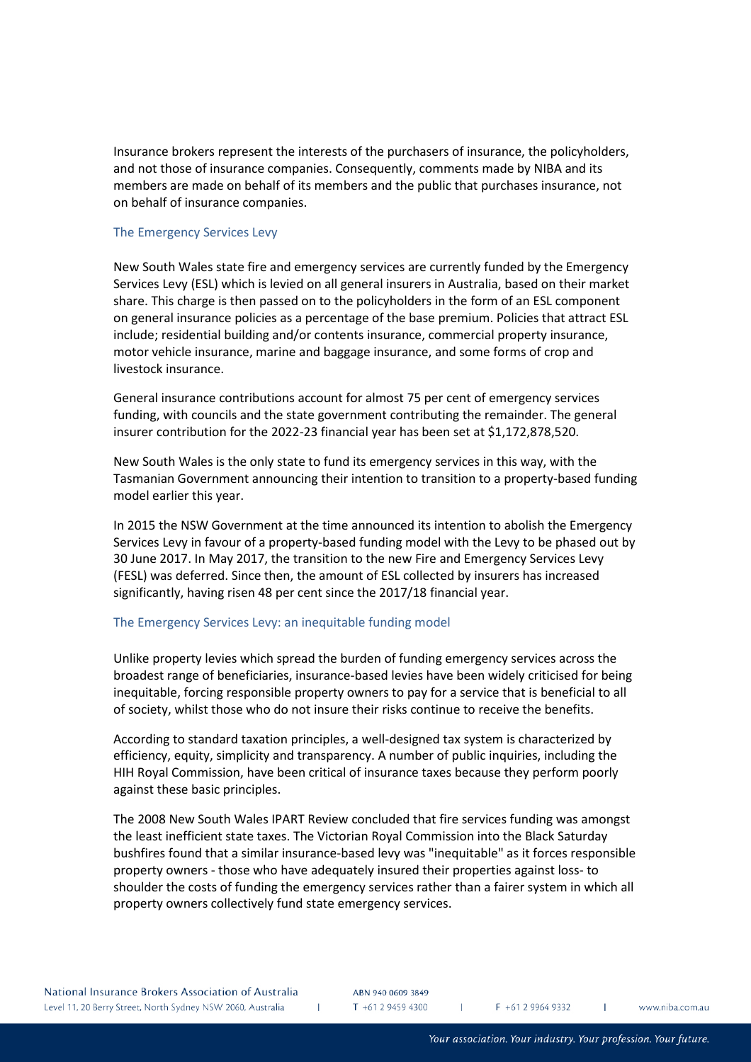Insurance brokers represent the interests of the purchasers of insurance, the policyholders, and not those of insurance companies. Consequently, comments made by NIBA and its members are made on behalf of its members and the public that purchases insurance, not on behalf of insurance companies.

## The Emergency Services Levy

New South Wales state fire and emergency services are currently funded by the Emergency Services Levy (ESL) which is levied on all general insurers in Australia, based on their market share. This charge is then passed on to the policyholders in the form of an ESL component on general insurance policies as a percentage of the base premium. Policies that attract ESL include; residential building and/or contents insurance, commercial property insurance, motor vehicle insurance, marine and baggage insurance, and some forms of crop and livestock insurance.

General insurance contributions account for almost 75 per cent of emergency services funding, with councils and the state government contributing the remainder. The general insurer contribution for the 2022-23 financial year has been set at \$1,172,878,520.

New South Wales is the only state to fund its emergency services in this way, with the Tasmanian Government announcing their intention to transition to a property-based funding model earlier this year.

In 2015 the NSW Government at the time announced its intention to abolish the Emergency Services Levy in favour of a property-based funding model with the Levy to be phased out by 30 June 2017. In May 2017, the transition to the new Fire and Emergency Services Levy (FESL) was deferred. Since then, the amount of ESL collected by insurers has increased significantly, having risen 48 per cent since the 2017/18 financial year.

## The Emergency Services Levy: an inequitable funding model

Unlike property levies which spread the burden of funding emergency services across the broadest range of beneficiaries, insurance-based levies have been widely criticised for being inequitable, forcing responsible property owners to pay for a service that is beneficial to all of society, whilst those who do not insure their risks continue to receive the benefits.

According to standard taxation principles, a well-designed tax system is characterized by efficiency, equity, simplicity and transparency. A number of public inquiries, including the HIH Royal Commission, have been critical of insurance taxes because they perform poorly against these basic principles.

The 2008 New South Wales IPART Review concluded that fire services funding was amongst the least inefficient state taxes. The Victorian Royal Commission into the Black Saturday bushfires found that a similar insurance-based levy was "inequitable" as it forces responsible property owners - those who have adequately insured their properties against loss- to shoulder the costs of funding the emergency services rather than a fairer system in which all property owners collectively fund state emergency services.

ABN 940 0609 3849 T +61 2 9459 4300

 $\mathbf{L}$ 

 $F + 61299649332$ 

 $\mathbf{L}$ 

T.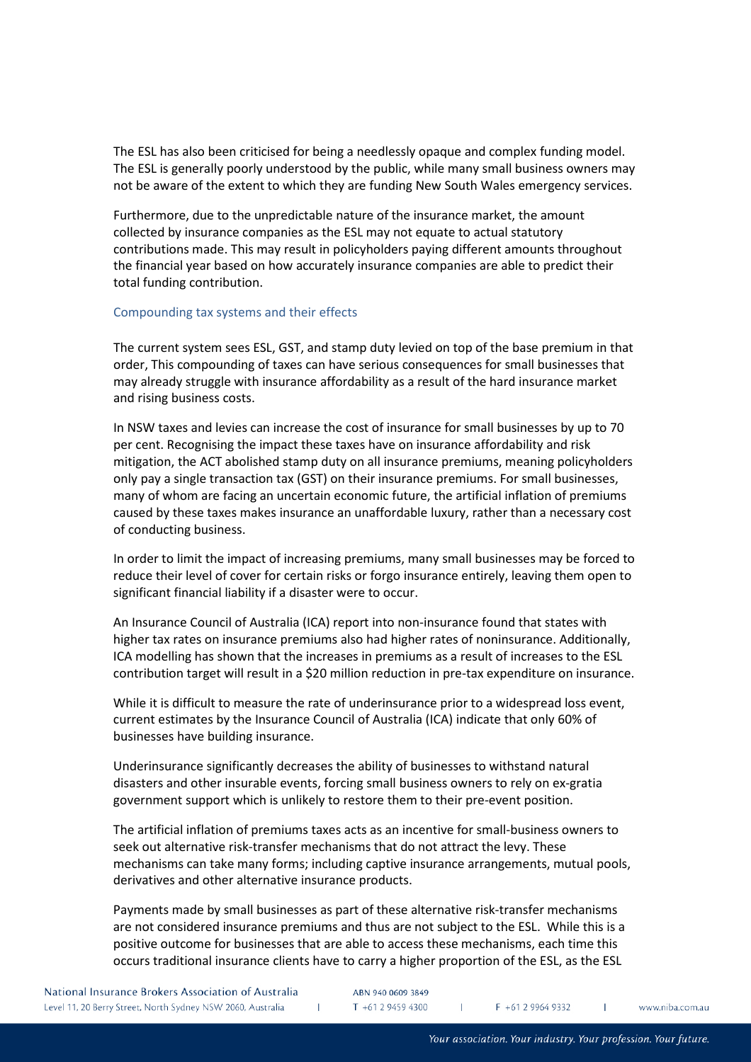The ESL has also been criticised for being a needlessly opaque and complex funding model. The ESL is generally poorly understood by the public, while many small business owners may not be aware of the extent to which they are funding New South Wales emergency services.

Furthermore, due to the unpredictable nature of the insurance market, the amount collected by insurance companies as the ESL may not equate to actual statutory contributions made. This may result in policyholders paying different amounts throughout the financial year based on how accurately insurance companies are able to predict their total funding contribution.

## Compounding tax systems and their effects

The current system sees ESL, GST, and stamp duty levied on top of the base premium in that order, This compounding of taxes can have serious consequences for small businesses that may already struggle with insurance affordability as a result of the hard insurance market and rising business costs.

In NSW taxes and levies can increase the cost of insurance for small businesses by up to 70 per cent. Recognising the impact these taxes have on insurance affordability and risk mitigation, the ACT abolished stamp duty on all insurance premiums, meaning policyholders only pay a single transaction tax (GST) on their insurance premiums. For small businesses, many of whom are facing an uncertain economic future, the artificial inflation of premiums caused by these taxes makes insurance an unaffordable luxury, rather than a necessary cost of conducting business.

In order to limit the impact of increasing premiums, many small businesses may be forced to reduce their level of cover for certain risks or forgo insurance entirely, leaving them open to significant financial liability if a disaster were to occur.

An Insurance Council of Australia (ICA) report into non-insurance found that states with higher tax rates on insurance premiums also had higher rates of noninsurance. Additionally, ICA modelling has shown that the increases in premiums as a result of increases to the ESL contribution target will result in a \$20 million reduction in pre-tax expenditure on insurance.

While it is difficult to measure the rate of underinsurance prior to a widespread loss event, current estimates by the Insurance Council of Australia (ICA) indicate that only 60% of businesses have building insurance.

Underinsurance significantly decreases the ability of businesses to withstand natural disasters and other insurable events, forcing small business owners to rely on ex-gratia government support which is unlikely to restore them to their pre-event position.

The artificial inflation of premiums taxes acts as an incentive for small-business owners to seek out alternative risk-transfer mechanisms that do not attract the levy. These mechanisms can take many forms; including captive insurance arrangements, mutual pools, derivatives and other alternative insurance products.

Payments made by small businesses as part of these alternative risk-transfer mechanisms are not considered insurance premiums and thus are not subject to the ESL. While this is a positive outcome for businesses that are able to access these mechanisms, each time this occurs traditional insurance clients have to carry a higher proportion of the ESL, as the ESL

 $\mathbf{L}$ 

 $\mathbf{L}$ 

 $\mathbf{L}$